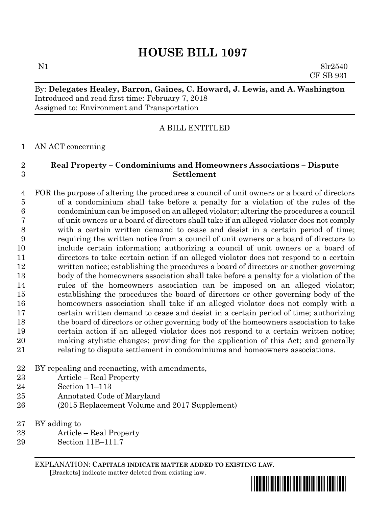# **HOUSE BILL 1097**

N1 8lr2540 CF SB 931

## By: **Delegates Healey, Barron, Gaines, C. Howard, J. Lewis, and A. Washington** Introduced and read first time: February 7, 2018 Assigned to: Environment and Transportation

### A BILL ENTITLED

#### AN ACT concerning

#### **Real Property – Condominiums and Homeowners Associations – Dispute Settlement**

 FOR the purpose of altering the procedures a council of unit owners or a board of directors of a condominium shall take before a penalty for a violation of the rules of the condominium can be imposed on an alleged violator; altering the procedures a council of unit owners or a board of directors shall take if an alleged violator does not comply with a certain written demand to cease and desist in a certain period of time; requiring the written notice from a council of unit owners or a board of directors to include certain information; authorizing a council of unit owners or a board of directors to take certain action if an alleged violator does not respond to a certain written notice; establishing the procedures a board of directors or another governing body of the homeowners association shall take before a penalty for a violation of the rules of the homeowners association can be imposed on an alleged violator; establishing the procedures the board of directors or other governing body of the homeowners association shall take if an alleged violator does not comply with a certain written demand to cease and desist in a certain period of time; authorizing the board of directors or other governing body of the homeowners association to take certain action if an alleged violator does not respond to a certain written notice; making stylistic changes; providing for the application of this Act; and generally relating to dispute settlement in condominiums and homeowners associations.

- BY repealing and reenacting, with amendments,
- Article Real Property
- Section 11–113
- Annotated Code of Maryland
- (2015 Replacement Volume and 2017 Supplement)
- BY adding to
- Article Real Property
- Section 11B–111.7

EXPLANATION: **CAPITALS INDICATE MATTER ADDED TO EXISTING LAW**.  **[**Brackets**]** indicate matter deleted from existing law.

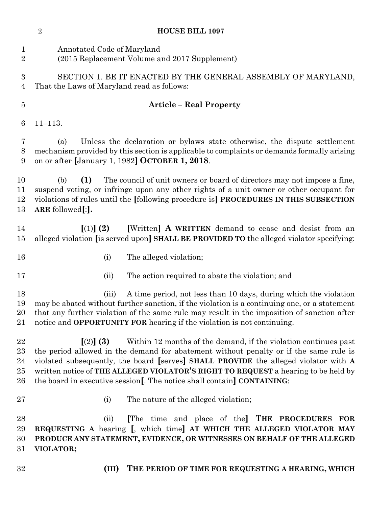| $\sqrt{2}$<br><b>HOUSE BILL 1097</b> |                                                                                                                                                                                                                                                                                              |                                                                                                                                                                                                                                                                                                                                                                                                              |  |
|--------------------------------------|----------------------------------------------------------------------------------------------------------------------------------------------------------------------------------------------------------------------------------------------------------------------------------------------|--------------------------------------------------------------------------------------------------------------------------------------------------------------------------------------------------------------------------------------------------------------------------------------------------------------------------------------------------------------------------------------------------------------|--|
| $\mathbf{1}$<br>$\overline{2}$       | Annotated Code of Maryland<br>(2015 Replacement Volume and 2017 Supplement)                                                                                                                                                                                                                  |                                                                                                                                                                                                                                                                                                                                                                                                              |  |
| 3<br>4                               | SECTION 1. BE IT ENACTED BY THE GENERAL ASSEMBLY OF MARYLAND,<br>That the Laws of Maryland read as follows:                                                                                                                                                                                  |                                                                                                                                                                                                                                                                                                                                                                                                              |  |
| $\overline{5}$                       |                                                                                                                                                                                                                                                                                              | <b>Article – Real Property</b>                                                                                                                                                                                                                                                                                                                                                                               |  |
| 6                                    | $11 - 113.$                                                                                                                                                                                                                                                                                  |                                                                                                                                                                                                                                                                                                                                                                                                              |  |
| 7<br>8<br>9                          | Unless the declaration or bylaws state otherwise, the dispute settlement<br>(a)<br>mechanism provided by this section is applicable to complaints or demands formally arising<br>on or after [January 1, 1982] OCTOBER 1, 2018.                                                              |                                                                                                                                                                                                                                                                                                                                                                                                              |  |
| 10<br>11<br>12<br>13                 | The council of unit owners or board of directors may not impose a fine,<br>(b)<br>(1)<br>suspend voting, or infringe upon any other rights of a unit owner or other occupant for<br>violations of rules until the [following procedure is] PROCEDURES IN THIS SUBSECTION<br>ARE followed[:]. |                                                                                                                                                                                                                                                                                                                                                                                                              |  |
| 14<br>15                             | $(1)$ (2)                                                                                                                                                                                                                                                                                    | [Written] A WRITTEN demand to cease and desist from an<br>alleged violation [is served upon] SHALL BE PROVIDED TO the alleged violator specifying:                                                                                                                                                                                                                                                           |  |
| 16                                   | (i)                                                                                                                                                                                                                                                                                          | The alleged violation;                                                                                                                                                                                                                                                                                                                                                                                       |  |
| 17                                   | (ii)                                                                                                                                                                                                                                                                                         | The action required to abate the violation; and                                                                                                                                                                                                                                                                                                                                                              |  |
| 18<br>19<br>20<br>21                 | (iii)                                                                                                                                                                                                                                                                                        | A time period, not less than 10 days, during which the violation<br>may be abated without further sanction, if the violation is a continuing one, or a statement<br>that any further violation of the same rule may result in the imposition of sanction after<br>notice and <b>OPPORTUNITY FOR</b> hearing if the violation is not continuing.                                                              |  |
| 22<br>23<br>24<br>25<br>26           | $(2)$ (3)                                                                                                                                                                                                                                                                                    | Within 12 months of the demand, if the violation continues past<br>the period allowed in the demand for abatement without penalty or if the same rule is<br>violated subsequently, the board [serves] SHALL PROVIDE the alleged violator with A<br>written notice of THE ALLEGED VIOLATOR'S RIGHT TO REQUEST a hearing to be held by<br>the board in executive session. The notice shall contain CONTAINING: |  |
| 27                                   | (i)                                                                                                                                                                                                                                                                                          | The nature of the alleged violation;                                                                                                                                                                                                                                                                                                                                                                         |  |
| 28<br>29<br>30<br>31                 | (ii)<br>VIOLATOR;                                                                                                                                                                                                                                                                            | [The time and place of the] THE PROCEDURES<br><b>FOR</b><br>REQUESTING A hearing [, which time] AT WHICH THE ALLEGED VIOLATOR MAY<br>PRODUCE ANY STATEMENT, EVIDENCE, OR WITNESSES ON BEHALF OF THE ALLEGED                                                                                                                                                                                                  |  |
| 32                                   | (III)                                                                                                                                                                                                                                                                                        | THE PERIOD OF TIME FOR REQUESTING A HEARING, WHICH                                                                                                                                                                                                                                                                                                                                                           |  |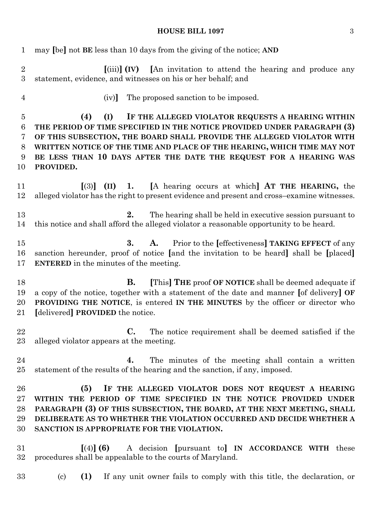# **HOUSE BILL 1097** 3

| $\mathbf{1}$                             | may [be] not BE less than 10 days from the giving of the notice; AND                                                                                                                                                                                                                                                                                                             |  |  |
|------------------------------------------|----------------------------------------------------------------------------------------------------------------------------------------------------------------------------------------------------------------------------------------------------------------------------------------------------------------------------------------------------------------------------------|--|--|
| $\overline{2}$<br>3                      | $\lceil$ (iii) $\rceil$ (IV) $\lceil$ An invitation to attend the hearing and produce any<br>statement, evidence, and witnesses on his or her behalf; and                                                                                                                                                                                                                        |  |  |
| $\overline{4}$                           | The proposed sanction to be imposed.<br>(iv)                                                                                                                                                                                                                                                                                                                                     |  |  |
| $\overline{5}$<br>6<br>7<br>8<br>9<br>10 | (I)<br>IF THE ALLEGED VIOLATOR REQUESTS A HEARING WITHIN<br>(4)<br>THE PERIOD OF TIME SPECIFIED IN THE NOTICE PROVIDED UNDER PARAGRAPH (3)<br>OF THIS SUBSECTION, THE BOARD SHALL PROVIDE THE ALLEGED VIOLATOR WITH<br>WRITTEN NOTICE OF THE TIME AND PLACE OF THE HEARING, WHICH TIME MAY NOT<br>BE LESS THAN 10 DAYS AFTER THE DATE THE REQUEST FOR A HEARING WAS<br>PROVIDED. |  |  |
| 11<br>12                                 | $\lceil(3)\rceil$ (II) 1. [A hearing occurs at which] AT THE HEARING, the<br>alleged violator has the right to present evidence and present and cross-examine witnesses.                                                                                                                                                                                                         |  |  |
| 13<br>14                                 | 2.<br>The hearing shall be held in executive session pursuant to<br>this notice and shall afford the alleged violator a reasonable opportunity to be heard.                                                                                                                                                                                                                      |  |  |
| $15\,$<br>16<br>17                       | Prior to the [effectiveness] TAKING EFFECT of any<br>A.<br>3.<br>sanction hereunder, proof of notice [and the invitation to be heard] shall be [placed]<br><b>ENTERED</b> in the minutes of the meeting.                                                                                                                                                                         |  |  |
| 18<br>19<br>20<br>21                     | [This] THE proof OF NOTICE shall be deemed adequate if<br><b>B.</b><br>a copy of the notice, together with a statement of the date and manner [of delivery] OF<br><b>PROVIDING THE NOTICE, is entered IN THE MINUTES</b> by the officer or director who<br>[delivered] PROVIDED the notice.                                                                                      |  |  |
| 22<br>$23\,$                             | <b>C.</b> The notice requirement shall be deemed satisfied if the<br>alleged violator appears at the meeting.                                                                                                                                                                                                                                                                    |  |  |
| 24<br>25                                 | The minutes of the meeting shall contain a written<br>4.<br>statement of the results of the hearing and the sanction, if any, imposed.                                                                                                                                                                                                                                           |  |  |
| 26<br>$27\,$<br>28<br>29<br>30           | (5)<br>IF THE ALLEGED VIOLATOR DOES NOT REQUEST A HEARING<br>WITHIN THE PERIOD OF TIME SPECIFIED IN THE NOTICE PROVIDED UNDER<br>PARAGRAPH (3) OF THIS SUBSECTION, THE BOARD, AT THE NEXT MEETING, SHALL<br>DELIBERATE AS TO WHETHER THE VIOLATION OCCURRED AND DECIDE WHETHER A<br>SANCTION IS APPROPRIATE FOR THE VIOLATION.                                                   |  |  |
| 31<br>$32\,$                             | $(4)$ (6)<br>A decision [pursuant to] IN ACCORDANCE WITH these<br>procedures shall be appealable to the courts of Maryland.                                                                                                                                                                                                                                                      |  |  |
| 33                                       | (1)<br>If any unit owner fails to comply with this title, the declaration, or<br>$\left( \mathrm{c}\right)$                                                                                                                                                                                                                                                                      |  |  |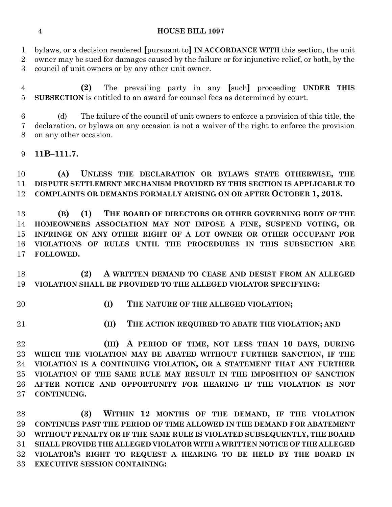#### **HOUSE BILL 1097**

 bylaws, or a decision rendered **[**pursuant to**] IN ACCORDANCE WITH** this section, the unit owner may be sued for damages caused by the failure or for injunctive relief, or both, by the

council of unit owners or by any other unit owner.

 **(2)** The prevailing party in any **[**such**]** proceeding **UNDER THIS SUBSECTION** is entitled to an award for counsel fees as determined by court.

 (d) The failure of the council of unit owners to enforce a provision of this title, the declaration, or bylaws on any occasion is not a waiver of the right to enforce the provision on any other occasion.

## **11B–111.7.**

 **(A) UNLESS THE DECLARATION OR BYLAWS STATE OTHERWISE, THE DISPUTE SETTLEMENT MECHANISM PROVIDED BY THIS SECTION IS APPLICABLE TO COMPLAINTS OR DEMANDS FORMALLY ARISING ON OR AFTER OCTOBER 1, 2018.**

 **(B) (1) THE BOARD OF DIRECTORS OR OTHER GOVERNING BODY OF THE HOMEOWNERS ASSOCIATION MAY NOT IMPOSE A FINE, SUSPEND VOTING, OR INFRINGE ON ANY OTHER RIGHT OF A LOT OWNER OR OTHER OCCUPANT FOR VIOLATIONS OF RULES UNTIL THE PROCEDURES IN THIS SUBSECTION ARE FOLLOWED.**

 **(2) A WRITTEN DEMAND TO CEASE AND DESIST FROM AN ALLEGED VIOLATION SHALL BE PROVIDED TO THE ALLEGED VIOLATOR SPECIFYING:**

- 
- **(I) THE NATURE OF THE ALLEGED VIOLATION;**
- 
- **(II) THE ACTION REQUIRED TO ABATE THE VIOLATION; AND**

 **(III) A PERIOD OF TIME, NOT LESS THAN 10 DAYS, DURING WHICH THE VIOLATION MAY BE ABATED WITHOUT FURTHER SANCTION, IF THE VIOLATION IS A CONTINUING VIOLATION, OR A STATEMENT THAT ANY FURTHER VIOLATION OF THE SAME RULE MAY RESULT IN THE IMPOSITION OF SANCTION AFTER NOTICE AND OPPORTUNITY FOR HEARING IF THE VIOLATION IS NOT CONTINUING.**

 **(3) WITHIN 12 MONTHS OF THE DEMAND, IF THE VIOLATION CONTINUES PAST THE PERIOD OF TIME ALLOWED IN THE DEMAND FOR ABATEMENT WITHOUT PENALTY OR IF THE SAME RULE IS VIOLATED SUBSEQUENTLY, THE BOARD SHALL PROVIDE THE ALLEGED VIOLATOR WITH A WRITTEN NOTICE OF THE ALLEGED VIOLATOR'S RIGHT TO REQUEST A HEARING TO BE HELD BY THE BOARD IN EXECUTIVE SESSION CONTAINING:**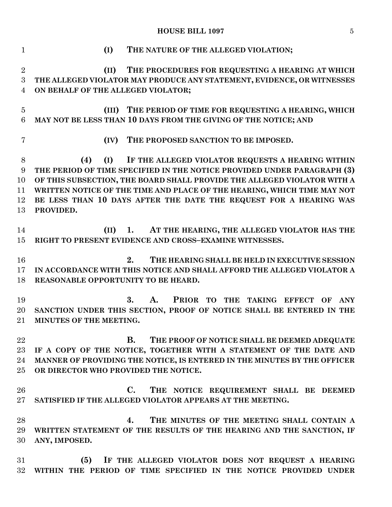**HOUSE BILL 1097** 5

 **(I) THE NATURE OF THE ALLEGED VIOLATION; (II) THE PROCEDURES FOR REQUESTING A HEARING AT WHICH THE ALLEGED VIOLATOR MAY PRODUCE ANY STATEMENT, EVIDENCE, OR WITNESSES ON BEHALF OF THE ALLEGED VIOLATOR; (III) THE PERIOD OF TIME FOR REQUESTING A HEARING, WHICH MAY NOT BE LESS THAN 10 DAYS FROM THE GIVING OF THE NOTICE; AND (IV) THE PROPOSED SANCTION TO BE IMPOSED. (4) (I) IF THE ALLEGED VIOLATOR REQUESTS A HEARING WITHIN THE PERIOD OF TIME SPECIFIED IN THE NOTICE PROVIDED UNDER PARAGRAPH (3) OF THIS SUBSECTION, THE BOARD SHALL PROVIDE THE ALLEGED VIOLATOR WITH A WRITTEN NOTICE OF THE TIME AND PLACE OF THE HEARING, WHICH TIME MAY NOT BE LESS THAN 10 DAYS AFTER THE DATE THE REQUEST FOR A HEARING WAS PROVIDED. (II) 1. AT THE HEARING, THE ALLEGED VIOLATOR HAS THE RIGHT TO PRESENT EVIDENCE AND CROSS–EXAMINE WITNESSES. 2. THE HEARING SHALL BE HELD IN EXECUTIVE SESSION IN ACCORDANCE WITH THIS NOTICE AND SHALL AFFORD THE ALLEGED VIOLATOR A REASONABLE OPPORTUNITY TO BE HEARD. 3. A. PRIOR TO THE TAKING EFFECT OF ANY SANCTION UNDER THIS SECTION, PROOF OF NOTICE SHALL BE ENTERED IN THE MINUTES OF THE MEETING. B. THE PROOF OF NOTICE SHALL BE DEEMED ADEQUATE IF A COPY OF THE NOTICE, TOGETHER WITH A STATEMENT OF THE DATE AND MANNER OF PROVIDING THE NOTICE, IS ENTERED IN THE MINUTES BY THE OFFICER OR DIRECTOR WHO PROVIDED THE NOTICE. C. THE NOTICE REQUIREMENT SHALL BE DEEMED SATISFIED IF THE ALLEGED VIOLATOR APPEARS AT THE MEETING. 4. THE MINUTES OF THE MEETING SHALL CONTAIN A WRITTEN STATEMENT OF THE RESULTS OF THE HEARING AND THE SANCTION, IF ANY, IMPOSED. (5) IF THE ALLEGED VIOLATOR DOES NOT REQUEST A HEARING WITHIN THE PERIOD OF TIME SPECIFIED IN THE NOTICE PROVIDED UNDER**